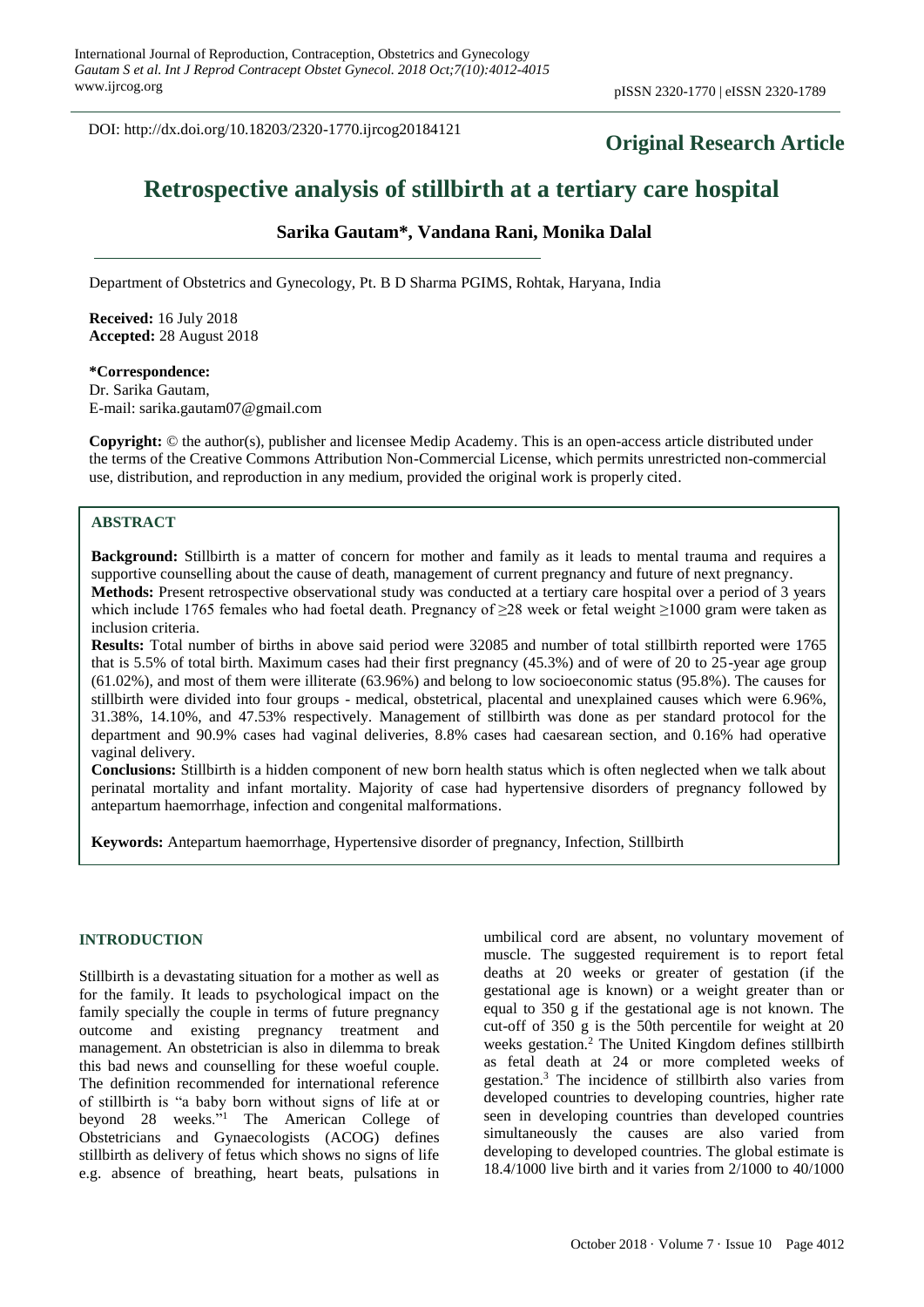DOI: http://dx.doi.org/10.18203/2320-1770.ijrcog20184121

# **Original Research Article**

# **Retrospective analysis of stillbirth at a tertiary care hospital**

# **Sarika Gautam\*, Vandana Rani, Monika Dalal**

Department of Obstetrics and Gynecology, Pt. B D Sharma PGIMS, Rohtak, Haryana, India

**Received:** 16 July 2018 **Accepted:** 28 August 2018

**\*Correspondence:** Dr. Sarika Gautam,

E-mail: sarika.gautam07@gmail.com

**Copyright:** © the author(s), publisher and licensee Medip Academy. This is an open-access article distributed under the terms of the Creative Commons Attribution Non-Commercial License, which permits unrestricted non-commercial use, distribution, and reproduction in any medium, provided the original work is properly cited.

# **ABSTRACT**

**Background:** Stillbirth is a matter of concern for mother and family as it leads to mental trauma and requires a supportive counselling about the cause of death, management of current pregnancy and future of next pregnancy. **Methods:** Present retrospective observational study was conducted at a tertiary care hospital over a period of 3 years

which include 1765 females who had foetal death. Pregnancy of ≥28 week or fetal weight ≥1000 gram were taken as inclusion criteria.

**Results:** Total number of births in above said period were 32085 and number of total stillbirth reported were 1765 that is 5.5% of total birth. Maximum cases had their first pregnancy (45.3%) and of were of 20 to 25-year age group (61.02%), and most of them were illiterate (63.96%) and belong to low socioeconomic status (95.8%). The causes for stillbirth were divided into four groups - medical, obstetrical, placental and unexplained causes which were 6.96%, 31.38%, 14.10%, and 47.53% respectively. Management of stillbirth was done as per standard protocol for the department and 90.9% cases had vaginal deliveries, 8.8% cases had caesarean section, and 0.16% had operative vaginal delivery.

**Conclusions:** Stillbirth is a hidden component of new born health status which is often neglected when we talk about perinatal mortality and infant mortality. Majority of case had hypertensive disorders of pregnancy followed by antepartum haemorrhage, infection and congenital malformations.

**Keywords:** Antepartum haemorrhage, Hypertensive disorder of pregnancy, Infection, Stillbirth

#### **INTRODUCTION**

Stillbirth is a devastating situation for a mother as well as for the family. It leads to psychological impact on the family specially the couple in terms of future pregnancy outcome and existing pregnancy treatment and management. An obstetrician is also in dilemma to break this bad news and counselling for these woeful couple. The definition recommended for international reference of stillbirth is "a baby born without signs of life at or beyond 28 weeks."<sup>1</sup> The American College of Obstetricians and Gynaecologists (ACOG) defines stillbirth as delivery of fetus which shows no signs of life e.g. absence of breathing, heart beats, pulsations in umbilical cord are absent, no voluntary movement of muscle. The suggested requirement is to report fetal deaths at 20 weeks or greater of gestation (if the gestational age is known) or a weight greater than or equal to 350 g if the gestational age is not known. The cut-off of 350 g is the 50th percentile for weight at 20 weeks gestation.<sup>2</sup> The United Kingdom defines stillbirth as fetal death at 24 or more completed weeks of gestation.<sup>3</sup> The incidence of stillbirth also varies from developed countries to developing countries, higher rate seen in developing countries than developed countries simultaneously the causes are also varied from developing to developed countries. The global estimate is 18.4/1000 live birth and it varies from 2/1000 to 40/1000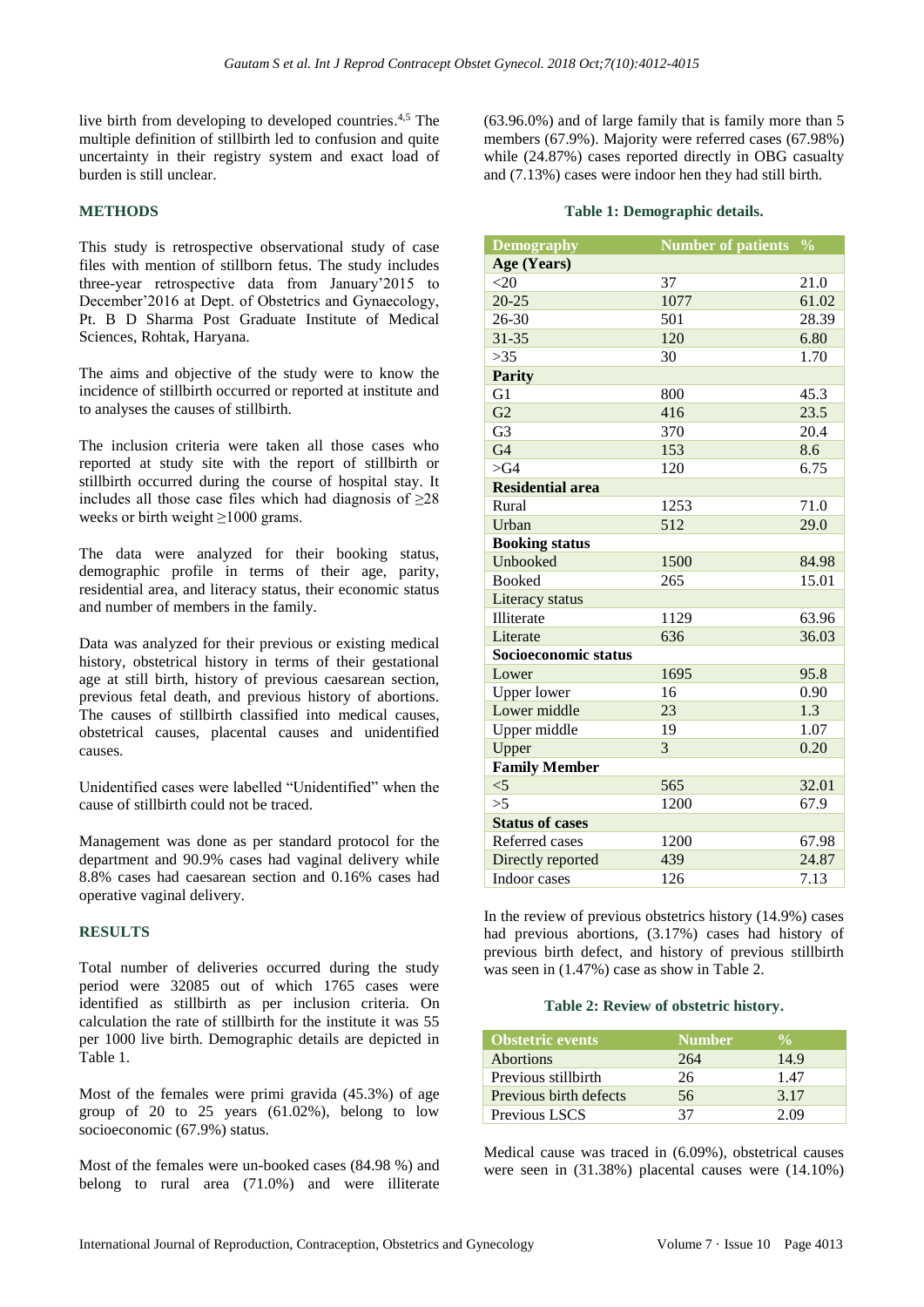live birth from developing to developed countries.<sup>4,5</sup> The multiple definition of stillbirth led to confusion and quite uncertainty in their registry system and exact load of burden is still unclear.

### **METHODS**

This study is retrospective observational study of case files with mention of stillborn fetus. The study includes three-year retrospective data from January'2015 to December'2016 at Dept. of Obstetrics and Gynaecology, Pt. B D Sharma Post Graduate Institute of Medical Sciences, Rohtak, Haryana.

The aims and objective of the study were to know the incidence of stillbirth occurred or reported at institute and to analyses the causes of stillbirth.

The inclusion criteria were taken all those cases who reported at study site with the report of stillbirth or stillbirth occurred during the course of hospital stay. It includes all those case files which had diagnosis of  $\geq 28$ weeks or birth weight ≥1000 grams.

The data were analyzed for their booking status, demographic profile in terms of their age, parity, residential area, and literacy status, their economic status and number of members in the family.

Data was analyzed for their previous or existing medical history, obstetrical history in terms of their gestational age at still birth, history of previous caesarean section, previous fetal death, and previous history of abortions. The causes of stillbirth classified into medical causes, obstetrical causes, placental causes and unidentified causes.

Unidentified cases were labelled "Unidentified" when the cause of stillbirth could not be traced.

Management was done as per standard protocol for the department and 90.9% cases had vaginal delivery while 8.8% cases had caesarean section and 0.16% cases had operative vaginal delivery.

### **RESULTS**

Total number of deliveries occurred during the study period were 32085 out of which 1765 cases were identified as stillbirth as per inclusion criteria. On calculation the rate of stillbirth for the institute it was 55 per 1000 live birth. Demographic details are depicted in Table 1.

Most of the females were primi gravida (45.3%) of age group of 20 to 25 years  $(61.02\%)$ , belong to low socioeconomic (67.9%) status.

Most of the females were un-booked cases (84.98 %) and belong to rural area (71.0%) and were illiterate (63.96.0%) and of large family that is family more than 5 members (67.9%). Majority were referred cases (67.98%) while (24.87%) cases reported directly in OBG casualty and (7.13%) cases were indoor hen they had still birth.

#### **Table 1: Demographic details.**

| <b>Demography</b>       | Number of patients % |       |
|-------------------------|----------------------|-------|
| Age (Years)             |                      |       |
| <20                     | 37                   | 21.0  |
| $20 - 25$               | 1077                 | 61.02 |
| $26 - 30$               | 501                  | 28.39 |
| $31 - 35$               | 120                  | 6.80  |
| >35                     | 30                   | 1.70  |
| <b>Parity</b>           |                      |       |
| G1                      | 800                  | 45.3  |
| $\overline{G2}$         | 416                  | 23.5  |
| G <sub>3</sub>          | 370                  | 20.4  |
| G <sub>4</sub>          | 153                  | 8.6   |
| $>\,$ G4                | 120                  | 6.75  |
| <b>Residential area</b> |                      |       |
| Rural                   | 1253                 | 71.0  |
| Urban                   | 512                  | 29.0  |
| <b>Booking status</b>   |                      |       |
| Unbooked                | 1500                 | 84.98 |
| <b>Booked</b>           | 265                  | 15.01 |
| Literacy status         |                      |       |
| Illiterate              | 1129                 | 63.96 |
| Literate                | 636                  | 36.03 |
| Socioeconomic status    |                      |       |
| Lower                   | 1695                 | 95.8  |
| <b>Upper lower</b>      | 16                   | 0.90  |
| Lower middle            | 23                   | 1.3   |
| Upper middle            | 19                   | 1.07  |
| Upper                   | 3                    | 0.20  |
| <b>Family Member</b>    |                      |       |
| $<$ 5                   | 565                  | 32.01 |
| >5                      | 1200                 | 67.9  |
| <b>Status of cases</b>  |                      |       |
| Referred cases          | 1200                 | 67.98 |
| Directly reported       | 439                  | 24.87 |
| Indoor cases            | 126                  | 7.13  |

In the review of previous obstetrics history (14.9%) cases had previous abortions, (3.17%) cases had history of previous birth defect, and history of previous stillbirth was seen in (1.47%) case as show in Table 2.

### **Table 2: Review of obstetric history.**

| <b>Obstetric events</b> | <b>Number</b> |      |
|-------------------------|---------------|------|
| <b>Abortions</b>        | 264           | 14.9 |
| Previous stillbirth     | 26            | 1.47 |
| Previous birth defects  | 56            | 3.17 |
| Previous LSCS           | 37            | 2.09 |

Medical cause was traced in (6.09%), obstetrical causes were seen in (31.38%) placental causes were (14.10%)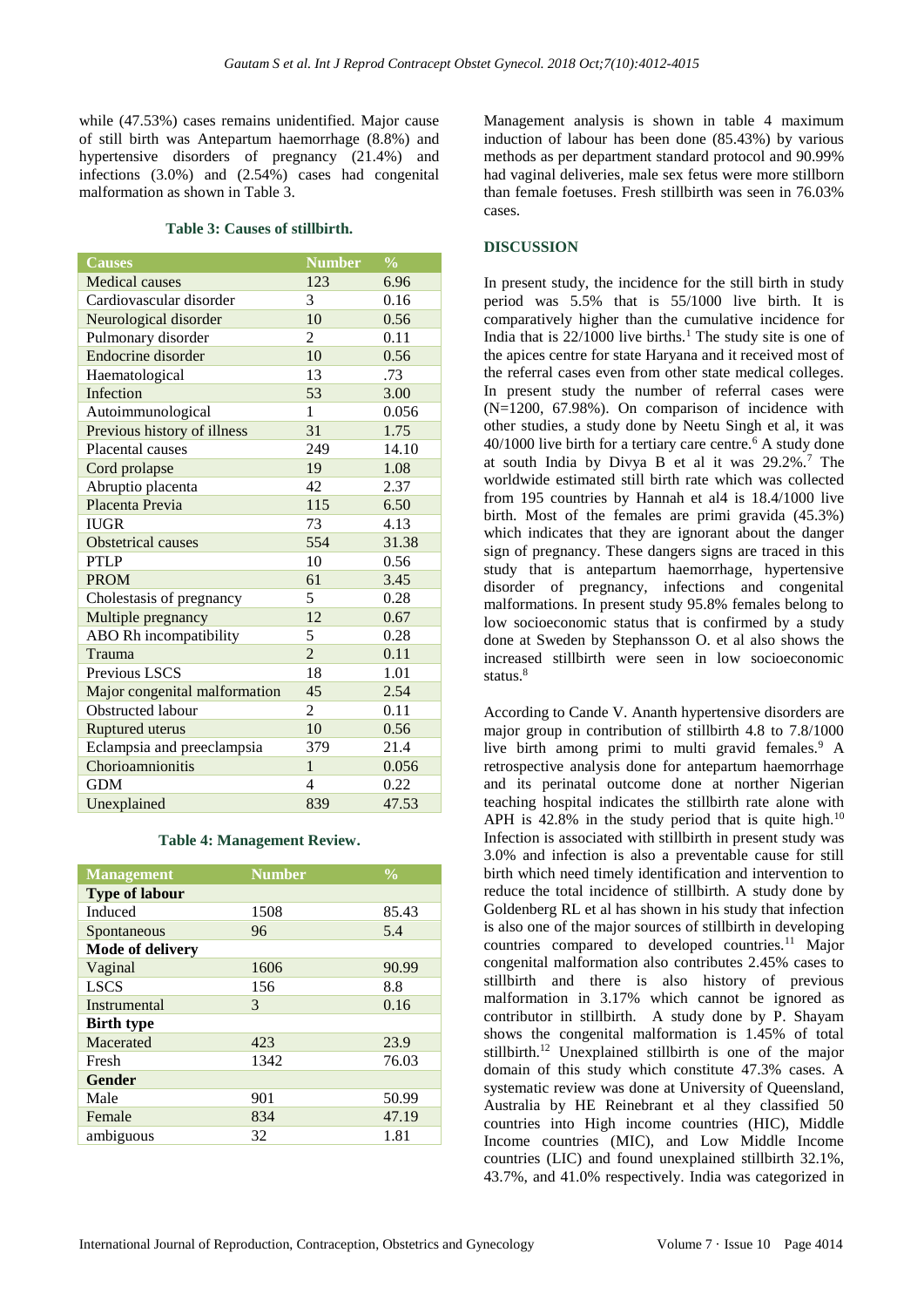while (47.53%) cases remains unidentified. Major cause of still birth was Antepartum haemorrhage (8.8%) and hypertensive disorders of pregnancy (21.4%) and infections (3.0%) and (2.54%) cases had congenital malformation as shown in Table 3.

#### **Table 3: Causes of stillbirth.**

| <b>Causes</b>                 | <b>Number</b>  | $\frac{0}{0}$ |
|-------------------------------|----------------|---------------|
| <b>Medical causes</b>         | 123            | 6.96          |
| Cardiovascular disorder       | 3              | 0.16          |
| Neurological disorder         | 10             | 0.56          |
| Pulmonary disorder            | 2              | 0.11          |
| Endocrine disorder            | 10             | 0.56          |
| Haematological                | 13             | .73           |
| Infection                     | 53             | 3.00          |
| Autoimmunological             | 1              | 0.056         |
| Previous history of illness   | 31             | 1.75          |
| Placental causes              | 249            | 14.10         |
| Cord prolapse                 | 19             | 1.08          |
| Abruptio placenta             | 42             | 2.37          |
| Placenta Previa               | 115            | 6.50          |
| <b>IUGR</b>                   | 73             | 4.13          |
| <b>Obstetrical causes</b>     | 554            | 31.38         |
| <b>PTLP</b>                   | 10             | 0.56          |
| <b>PROM</b>                   | 61             | 3.45          |
| Cholestasis of pregnancy      | 5              | 0.28          |
| Multiple pregnancy            | 12             | 0.67          |
| ABO Rh incompatibility        | 5              | 0.28          |
| Trauma                        | $\overline{2}$ | 0.11          |
| Previous LSCS                 | 18             | 1.01          |
| Major congenital malformation | 45             | 2.54          |
| <b>Obstructed labour</b>      | 2              | 0.11          |
| Ruptured uterus               | 10             | 0.56          |
| Eclampsia and preeclampsia    | 379            | 21.4          |
| Chorioamnionitis              | $\mathbf{1}$   | 0.056         |
| <b>GDM</b>                    | 4              | 0.22          |
| Unexplained                   | 839            | 47.53         |

#### **Table 4: Management Review.**

|      | $\overline{\frac{0}{0}}$ |
|------|--------------------------|
|      |                          |
| 1508 | 85.43                    |
| 96   | 5.4                      |
|      |                          |
| 1606 | 90.99                    |
| 156  | 8.8                      |
| 3    | 0.16                     |
|      |                          |
| 423  | 23.9                     |
| 1342 | 76.03                    |
|      |                          |
| 901  | 50.99                    |
| 834  | 47.19                    |
| 32   | 1.81                     |
|      | <b>Number</b>            |

Management analysis is shown in table 4 maximum induction of labour has been done (85.43%) by various methods as per department standard protocol and 90.99% had vaginal deliveries, male sex fetus were more stillborn than female foetuses. Fresh stillbirth was seen in 76.03% cases.

# **DISCUSSION**

In present study, the incidence for the still birth in study period was 5.5% that is 55/1000 live birth. It is comparatively higher than the cumulative incidence for India that is  $22/1000$  live births.<sup>1</sup> The study site is one of the apices centre for state Haryana and it received most of the referral cases even from other state medical colleges. In present study the number of referral cases were (N=1200, 67.98%). On comparison of incidence with other studies, a study done by Neetu Singh et al, it was  $40/1000$  live birth for a tertiary care centre.<sup>6</sup> A study done at south India by Divya B et al it was 29.2%.<sup>7</sup> The worldwide estimated still birth rate which was collected from 195 countries by Hannah et al4 is 18.4/1000 live birth. Most of the females are primi gravida (45.3%) which indicates that they are ignorant about the danger sign of pregnancy. These dangers signs are traced in this study that is antepartum haemorrhage, hypertensive disorder of pregnancy, infections and congenital malformations. In present study 95.8% females belong to low socioeconomic status that is confirmed by a study done at Sweden by Stephansson O. et al also shows the increased stillbirth were seen in low socioeconomic status.<sup>8</sup>

According to Cande V. Ananth hypertensive disorders are major group in contribution of stillbirth 4.8 to 7.8/1000 live birth among primi to multi gravid females.<sup>9</sup> A retrospective analysis done for antepartum haemorrhage and its perinatal outcome done at norther Nigerian teaching hospital indicates the stillbirth rate alone with APH is  $42.8\%$  in the study period that is quite high.<sup>10</sup> Infection is associated with stillbirth in present study was 3.0% and infection is also a preventable cause for still birth which need timely identification and intervention to reduce the total incidence of stillbirth. A study done by Goldenberg RL et al has shown in his study that infection is also one of the major sources of stillbirth in developing countries compared to developed countries.<sup>11</sup> Major congenital malformation also contributes 2.45% cases to stillbirth and there is also history of previous malformation in 3.17% which cannot be ignored as contributor in stillbirth. A study done by P. Shayam shows the congenital malformation is 1.45% of total stillbirth.<sup>12</sup> Unexplained stillbirth is one of the major domain of this study which constitute 47.3% cases. A systematic review was done at University of Queensland, Australia by HE Reinebrant et al they classified 50 countries into High income countries (HIC), Middle Income countries (MIC), and Low Middle Income countries (LIC) and found unexplained stillbirth 32.1%, 43.7%, and 41.0% respectively. India was categorized in